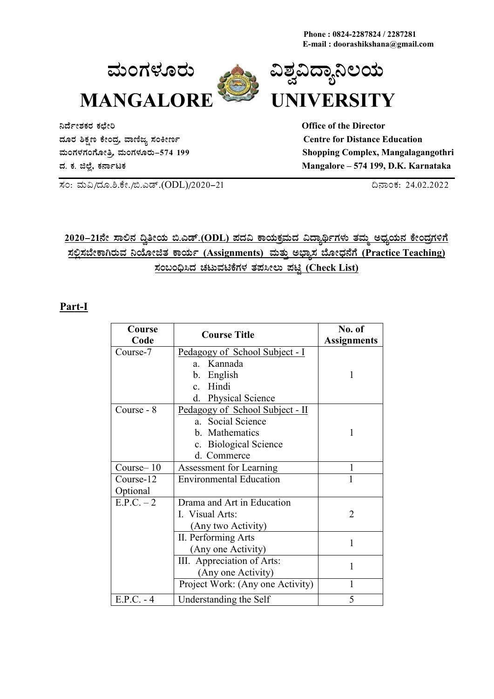**Phone : 0824-2287824 / 2287281 E-mail : doorashikshana@gmail.com**





**¤zÉðñÀPÀgÀ PÀbÉÃj Office of the Director zÀÆgÀ ²PÀët PÉÃAzÀæ, ªÁtÂdå ¸ÀAQÃtð Centre for Distance Education**

**ªÀÄAUÀ¼ÀUÀAUÉÆÃwæ, ªÀÄAUÀ¼ÀÆgÀÄ-574 199 Shopping Complex, Mangalagangothri zÀ. PÀ. f¯É è, PÀ£ÁðlPÀ Mangalore – 574 199, D.K. Karnataka** 

¸ÀA: ªÀÄ«/zÀÆ.².PÉÃ./©.Jqï.(ODL)/2020-21 ¢£ÁAPÀ: 24.02.2022

# <u>2020–21ನೇ ಸಾಲಿನ ದ್ರಿತೀಯ ಬಿ.ಎಡ್.(ODL) ಪದವಿ ಕಾಯಕ್ತಮದ ವಿದ್ಯಾರ್ಥಿಗಳು ತಮ್ಮ ಅಧ್ಯಯನ ಕೇಂದ್ರಗಳಿಗೆ</u> <u>ಸಲ್ಲಿಸಬೇಕಾಗಿರುವ ನಿಯೋಜಿತ ಕಾರ್ಯ (Assignments) ಮತ್ತು ಅಭ್ಯಾಸ ಬೋಧನೆಗೆ (Practice Teaching)</u> **¸ÀA§A¢ü¹zÀ ZÀlĪÀnPÉUÀ¼À vÀ¥À¹Ã®Ä ¥ÀnÖ (Check List)**

#### **Part-I**

| Course<br>Code        | <b>Course Title</b>                                                                                            | No. of<br><b>Assignments</b> |
|-----------------------|----------------------------------------------------------------------------------------------------------------|------------------------------|
| Course-7              | Pedagogy of School Subject - I<br>Kannada<br>$a_{\cdot}$<br>b. English                                         | 1                            |
|                       | c. Hindi<br>d. Physical Science                                                                                |                              |
| Course - 8            | Pedagogy of School Subject - II<br>a. Social Science<br>b. Mathematics<br>c. Biological Science<br>d. Commerce |                              |
| Course-10             | <b>Assessment for Learning</b>                                                                                 | 1                            |
| Course-12<br>Optional | <b>Environmental Education</b>                                                                                 | 1                            |
| $E.P.C. - 2$          | Drama and Art in Education<br>I. Visual Arts:<br>(Any two Activity)                                            | 2                            |
|                       | II. Performing Arts<br>(Any one Activity)                                                                      | 1                            |
|                       | III. Appreciation of Arts:<br>(Any one Activity)                                                               | 1                            |
|                       | Project Work: (Any one Activity)                                                                               |                              |
| $E.P.C. - 4$          | Understanding the Self                                                                                         | 5                            |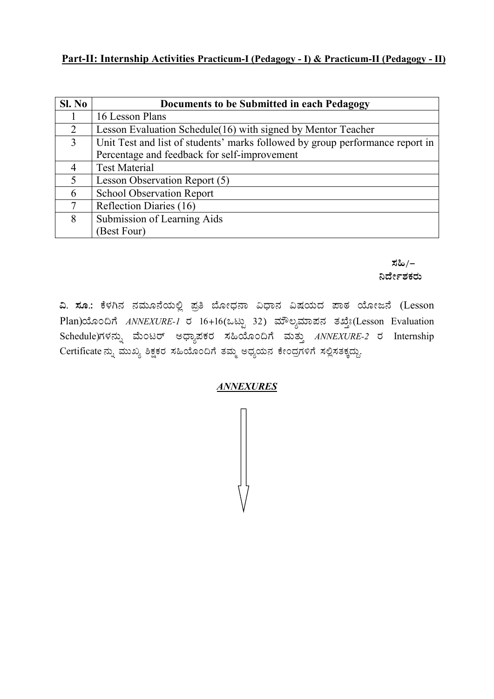## Part-II: Internship Activities Practicum-I (Pedagogy - I) & Practicum-II (Pedagogy - II)

| SI. No | Documents to be Submitted in each Pedagogy                                    |  |  |
|--------|-------------------------------------------------------------------------------|--|--|
|        | 16 Lesson Plans                                                               |  |  |
| 2      | Lesson Evaluation Schedule (16) with signed by Mentor Teacher                 |  |  |
| 3      | Unit Test and list of students' marks followed by group performance report in |  |  |
|        | Percentage and feedback for self-improvement                                  |  |  |
| 4      | <b>Test Material</b>                                                          |  |  |
| 5      | Lesson Observation Report (5)                                                 |  |  |
| 6      | <b>School Observation Report</b>                                              |  |  |
| 7      | Reflection Diaries (16)                                                       |  |  |
| 8      | Submission of Learning Aids                                                   |  |  |
|        | (Best Four)                                                                   |  |  |

ಸಹಿ/– ನಿರ್ದೇಶಕರು

ವಿ. ಸೂ.: ಕೆಳಗಿನ ನಮೂನೆಯಲ್ಲಿ ಪ್ರತಿ ಬೋಧನಾ ವಿಧಾನ ವಿಷಯದ ಪಾಠ ಯೋಜನೆ (Lesson Plan)ಯೊಂದಿಗೆ ANNEXURE-1 ರ 16+16(ಒಟ್ಟು 32) ಮೌಲ್ಯಮಾಪನ ತಖ್ತೇ(Lesson Evaluation Schedule)ಗಳನ್ನು ಮೆಂಟರ್ ಅಧ್ಯಾಪಕರ ಸಹಿಯೊಂದಿಗೆ ಮತ್ತು ANNEXURE-2 ರ Internship Certificate ನ್ನು ಮುಖ್ಯ ಶಿಕ್ಷಕರ ಸಹಿಯೊಂದಿಗೆ ತಮ್ಮ ಅಧ್ಯಯನ ಕೇಂದ್ರಗಳಿಗೆ ಸಲ್ಲಿಸತಕ್ಕದ್ದು.

#### **ANNEXURES**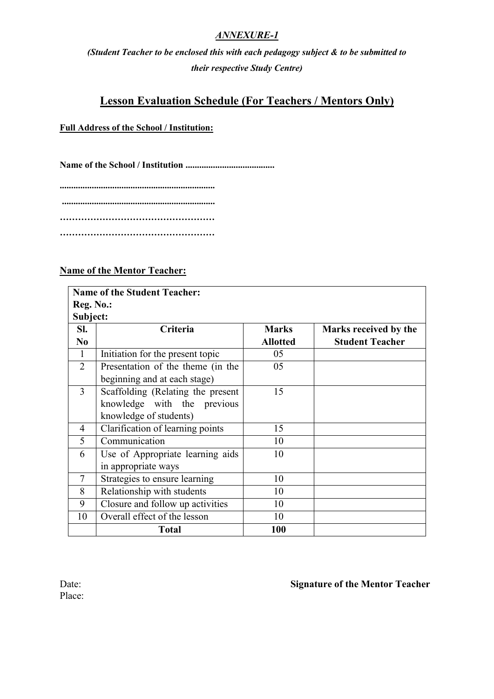## *ANNEXURE-1*

*(Student Teacher to be enclosed this with each pedagogy subject & to be submitted to their respective Study Centre)*

## **Lesson Evaluation Schedule (For Teachers / Mentors Only)**

#### **Full Address of the School / Institution:**

**Name of the School / Institution .......................................**

**.................................................................... ................................................................... …………………………………………… ……………………………………………**

#### **Name of the Mentor Teacher:**

|                | <b>Name of the Student Teacher:</b> |                 |                        |  |  |  |
|----------------|-------------------------------------|-----------------|------------------------|--|--|--|
| Reg. No.:      |                                     |                 |                        |  |  |  |
| Subject:       |                                     |                 |                        |  |  |  |
| SI.            | Criteria                            | <b>Marks</b>    | Marks received by the  |  |  |  |
| N <sub>0</sub> |                                     | <b>Allotted</b> | <b>Student Teacher</b> |  |  |  |
| $\mathbf{1}$   | Initiation for the present topic    | 05              |                        |  |  |  |
| $\overline{2}$ | Presentation of the theme (in the   | 05              |                        |  |  |  |
|                | beginning and at each stage)        |                 |                        |  |  |  |
| 3              | Scaffolding (Relating the present   | 15              |                        |  |  |  |
|                | knowledge with the previous         |                 |                        |  |  |  |
|                | knowledge of students)              |                 |                        |  |  |  |
| 4              | Clarification of learning points    | 15              |                        |  |  |  |
| 5              | Communication                       | 10              |                        |  |  |  |
| 6              | Use of Appropriate learning aids    | 10              |                        |  |  |  |
|                | in appropriate ways                 |                 |                        |  |  |  |
| $\tau$         | Strategies to ensure learning       | 10              |                        |  |  |  |
| 8              | Relationship with students          | 10              |                        |  |  |  |
| 9              | Closure and follow up activities    | 10              |                        |  |  |  |
| 10             | Overall effect of the lesson        | 10              |                        |  |  |  |
|                | <b>Total</b>                        | 100             |                        |  |  |  |

Place:

## Date: **Signature of the Mentor Teacher**